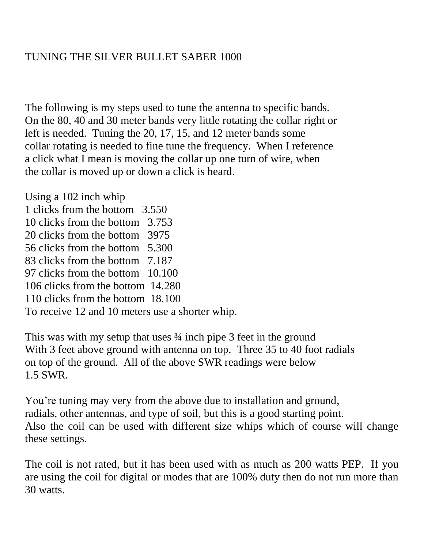## TUNING THE SILVER BULLET SABER 1000

The following is my steps used to tune the antenna to specific bands. On the 80, 40 and 30 meter bands very little rotating the collar right or left is needed. Tuning the 20, 17, 15, and 12 meter bands some collar rotating is needed to fine tune the frequency. When I reference a click what I mean is moving the collar up one turn of wire, when the collar is moved up or down a click is heard.

Using a 102 inch whip 1 clicks from the bottom 3.550 10 clicks from the bottom 3.753 20 clicks from the bottom 3975 56 clicks from the bottom 5.300 83 clicks from the bottom 7.187 97 clicks from the bottom 10.100 106 clicks from the bottom 14.280 110 clicks from the bottom 18.100 To receive 12 and 10 meters use a shorter whip.

This was with my setup that uses  $\frac{3}{4}$  inch pipe 3 feet in the ground With 3 feet above ground with antenna on top. Three 35 to 40 foot radials on top of the ground. All of the above SWR readings were below 1.5 SWR.

You're tuning may very from the above due to installation and ground, radials, other antennas, and type of soil, but this is a good starting point. Also the coil can be used with different size whips which of course will change these settings.

The coil is not rated, but it has been used with as much as 200 watts PEP. If you are using the coil for digital or modes that are 100% duty then do not run more than 30 watts.